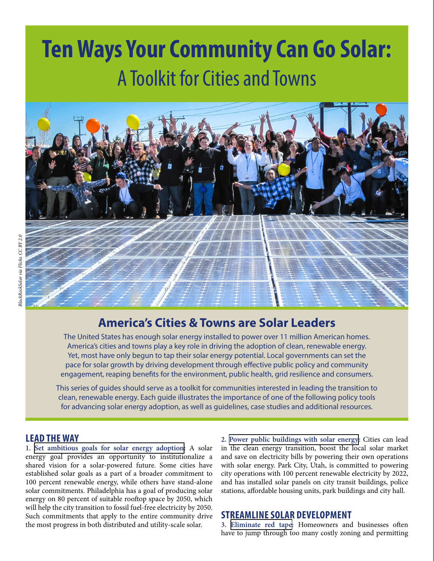# **Ten Ways Your Community Can Go Solar:** A Toolkit for Cities and Towns



# **America's Cities & Towns are Solar Leaders**

The United States has enough solar energy installed to power over 11 million American homes. America's cities and towns play a key role in driving the adoption of clean, renewable energy. Yet, most have only begun to tap their solar energy potential. Local governments can set the pace for solar growth by driving development through effective public policy and community engagement, reaping benefits for the environment, public health, grid resilience and consumers.

This series of guides should serve as a toolkit for communities interested in leading the transition to clean, renewable energy. Each guide illustrates the importance of one of the following policy tools for advancing solar energy adoption, as well as guidelines, case studies and additional resources.

#### **LEAD THE WAY**

**1. [Set ambitious goals for solar energy adoption:](https://environmentamerica.org/sites/environment/files/resources/AME_Solar-booklet_Mar2019_FS1_PRINTv1a.pdf)** A solar energy goal provides an opportunity to institutionalize a shared vision for a solar-powered future. Some cities have established solar goals as a part of a broader commitment to 100 percent renewable energy, while others have stand-alone solar commitments. Philadelphia has a goal of producing solar energy on 80 percent of suitable rooftop space by 2050, which will help the city transition to fossil fuel-free electricity by 2050. Such commitments that apply to the entire community drive the most progress in both distributed and utility-scale solar.

**2. [Power public buildings with solar energy](https://environmentamerica.org/sites/environment/files/resources/AME_Solar-booklet_Mar2019_FS2_PRINTv1a.pdf):** Cities can lead in the clean energy transition, boost the local solar market and save on electricity bills by powering their own operations with solar energy. Park City, Utah, is committed to powering city operations with 100 percent renewable electricity by 2022, and has installed solar panels on city transit buildings, police stations, affordable housing units, park buildings and city hall.

#### **STREAMLINE SOLAR DEVELOPMENT**

**3. [Eliminate red tape](https://environmentamerica.org/sites/environment/files/resources/AME_Solar-booklet_Mar2019_FS3_PRINTv1a.pdf):** Homeowners and businesses often have to jump through too many costly zoning and permitting